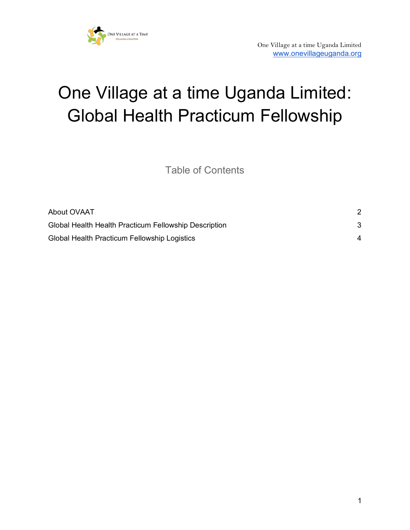

# One Village at a time Uganda Limited: Global Health Practicum Fellowship

Table of Contents

| About OVAAT                                           |   |
|-------------------------------------------------------|---|
| Global Health Health Practicum Fellowship Description |   |
| Global Health Practicum Fellowship Logistics          | 4 |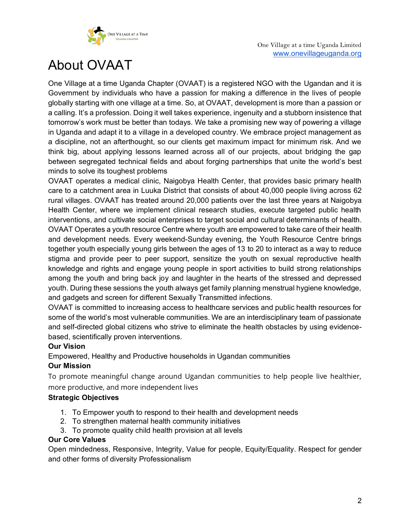

# <span id="page-1-0"></span>About OVAAT

One Village at a time Uganda Chapter (OVAAT) is a registered NGO with the Ugandan and it is Government by individuals who have a passion for making a difference in the lives of people globally starting with one village at a time. So, at OVAAT, development is more than a passion or a calling. It's a profession. Doing it well takes experience, ingenuity and a stubborn insistence that tomorrow's work must be better than todays. We take a promising new way of powering a village in Uganda and adapt it to a village in a developed country. We embrace project management as a discipline, not an afterthought, so our clients get maximum impact for minimum risk. And we think big, about applying lessons learned across all of our projects, about bridging the gap between segregated technical fields and about forging partnerships that unite the world's best minds to solve its toughest problems

OVAAT operates a medical clinic, Naigobya Health Center, that provides basic primary health care to a catchment area in Luuka District that consists of about 40,000 people living across 62 rural villages. OVAAT has treated around 20,000 patients over the last three years at Naigobya Health Center, where we implement clinical research studies, execute targeted public health interventions, and cultivate social enterprises to target social and cultural determinants of health. OVAAT Operates a youth resource Centre where youth are empowered to take care of their health and development needs. Every weekend-Sunday evening, the Youth Resource Centre brings together youth especially young girls between the ages of 13 to 20 to interact as a way to reduce stigma and provide peer to peer support, sensitize the youth on sexual reproductive health knowledge and rights and engage young people in sport activities to build strong relationships among the youth and bring back joy and laughter in the hearts of the stressed and depressed youth. During these sessions the youth always get family planning menstrual hygiene knowledge, and gadgets and screen for different Sexually Transmitted infections.

OVAAT is committed to increasing access to healthcare services and public health resources for some of the world's most vulnerable communities. We are an interdisciplinary team of passionate and self-directed global citizens who strive to eliminate the health obstacles by using evidencebased, scientifically proven interventions.

#### **Our Vision**

Empowered, Healthy and Productive households in Ugandan communities

#### **Our Mission**

To promote meaningful change around Ugandan communities to help people live healthier, more productive, and more independent lives

#### **Strategic Objectives**

- 1. To Empower youth to respond to their health and development needs
- 2. To strengthen maternal health community initiatives
- 3. To promote quality child health provision at all levels

#### **Our Core Values**

Open mindedness, Responsive, Integrity, Value for people, Equity/Equality. Respect for gender and other forms of diversity Professionalism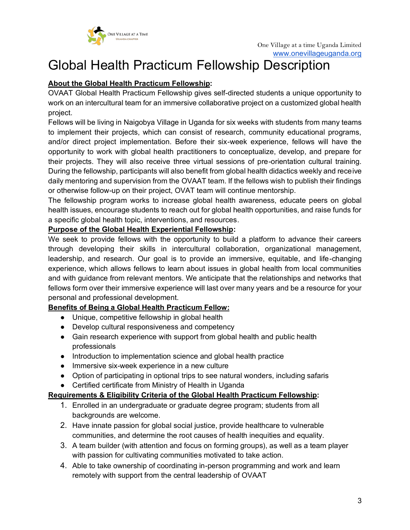

## <span id="page-2-0"></span>Global Health Practicum Fellowship Description

#### **About the Global Health Practicum Fellowship:**

OVAAT Global Health Practicum Fellowship gives self-directed students a unique opportunity to work on an intercultural team for an immersive collaborative project on a customized global health project.

Fellows will be living in Naigobya Village in Uganda for six weeks with students from many teams to implement their projects, which can consist of research, community educational programs, and/or direct project implementation. Before their six-week experience, fellows will have the opportunity to work with global health practitioners to conceptualize, develop, and prepare for their projects. They will also receive three virtual sessions of pre-orientation cultural training. During the fellowship, participants will also benefit from global health didactics weekly and receive daily mentoring and supervision from the OVAAT team. If the fellows wish to publish their findings or otherwise follow-up on their project, OVAT team will continue mentorship.

The fellowship program works to increase global health awareness, educate peers on global health issues, encourage students to reach out for global health opportunities, and raise funds for a specific global health topic, interventions, and resources.

#### **Purpose of the Global Health Experiential Fellowship:**

We seek to provide fellows with the opportunity to build a platform to advance their careers through developing their skills in intercultural collaboration, organizational management, leadership, and research. Our goal is to provide an immersive, equitable, and life-changing experience, which allows fellows to learn about issues in global health from local communities and with guidance from relevant mentors. We anticipate that the relationships and networks that fellows form over their immersive experience will last over many years and be a resource for your personal and professional development.

#### **Benefits of Being a Global Health Practicum Fellow:**

- Unique, competitive fellowship in global health
- Develop cultural responsiveness and competency
- Gain research experience with support from global health and public health professionals
- Introduction to implementation science and global health practice
- Immersive six-week experience in a new culture
- Option of participating in optional trips to see natural wonders, including safaris

#### ● Certified certificate from Ministry of Health in Uganda

#### **Requirements & Eligibility Criteria of the Global Health Practicum Fellowship:**

- 1. Enrolled in an undergraduate or graduate degree program; students from all backgrounds are welcome.
- 2. Have innate passion for global social justice, provide healthcare to vulnerable communities, and determine the root causes of health inequities and equality.
- 3. A team builder (with attention and focus on forming groups), as well as a team player with passion for cultivating communities motivated to take action.
- 4. Able to take ownership of coordinating in-person programming and work and learn remotely with support from the central leadership of OVAAT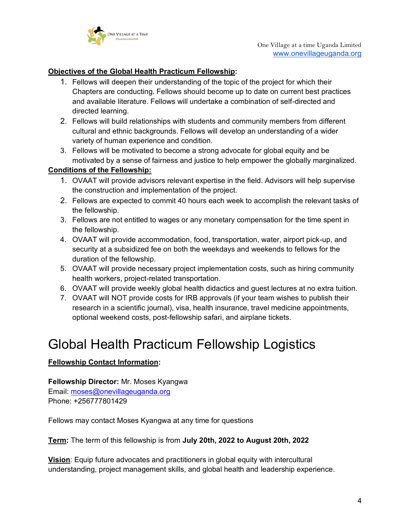

#### **Objectives of the Global Health Practicum Fellowship:**

- 1. Fellows will deepen their understanding of the topic of the project for which their Chapters are conducting. Fellows should become up to date on current best practices and available literature. Fellows will undertake a combination of self-directed and directed learning.
- 2. Fellows will build relationships with students and community members from different cultural and ethnic backgrounds. Fellows will develop an understanding of a wider variety of human experience and condition.
- 3. Fellows will be motivated to become a strong advocate for global equity and be motivated by a sense of fairness and justice to help empower the globally marginalized.

#### **Conditions of the Fellowship:**

- 1. OVAAT will provide advisors relevant expertise in the field. Advisors will help supervise the construction and implementation of the project.
- 2. Fellows are expected to commit 40 hours each week to accomplish the relevant tasks of the fellowship.
- 3. Fellows are not entitled to wages or any monetary compensation for the time spent in the fellowship.
- 4. OVAAT will provide accommodation, food, transportation, water, airport pick-up, and security at a subsidized fee on both the weekdays and weekends to fellows for the duration of the fellowship.
- 5. OVAAT will provide necessary project implementation costs, such as hiring community health workers, project-related transportation.
- 6. OVAAT will provide weekly global health didactics and guest lectures at no extra tuition.
- 7. OVAAT will NOT provide costs for IRB approvals (if your team wishes to publish their research in a scientific journal), visa, health insurance, travel medicine appointments, optional weekend costs, post-fellowship safari, and airplane tickets.

### <span id="page-3-0"></span>Global Health Practicum Fellowship Logistics

#### **Fellowship Contact Information:**

**Fellowship Director:** Mr. Moses Kyangwa Email: [moses@onevillageuganda.org](mailto:moses@onevillageuganda.org) Phone: +256777801429

Fellows may contact Moses Kyangwa at any time for questions

**Term:** The term of this fellowship is from **July 20th, 2022 to August 20th, 2022**

**Vision**: Equip future advocates and practitioners in global equity with intercultural understanding, project management skills, and global health and leadership experience.